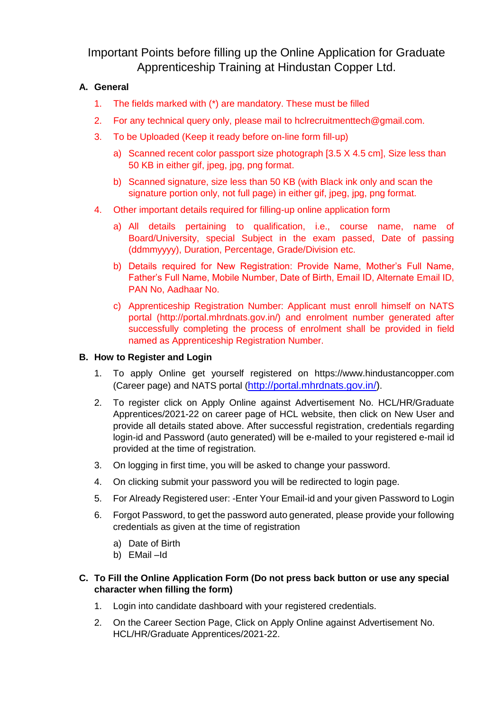Important Points before filling up the Online Application for Graduate Apprenticeship Training at Hindustan Copper Ltd.

## **A. General**

- 1. The fields marked with (\*) are mandatory. These must be filled
- 2. For any technical query only, please mail to hclrecruitmenttech@gmail.com.
- 3. To be Uploaded (Keep it ready before on-line form fill-up)
	- a) Scanned recent color passport size photograph [3.5 X 4.5 cm], Size less than 50 KB in either gif, jpeg, jpg, png format.
	- b) Scanned signature, size less than 50 KB (with Black ink only and scan the signature portion only, not full page) in either gif, jpeg, jpg, png format.
- 4. Other important details required for filling-up online application form
	- a) All details pertaining to qualification, i.e., course name, name of Board/University, special Subject in the exam passed, Date of passing (ddmmyyyy), Duration, Percentage, Grade/Division etc.
	- b) Details required for New Registration: Provide Name, Mother's Full Name, Father's Full Name, Mobile Number, Date of Birth, Email ID, Alternate Email ID, PAN No, Aadhaar No.
	- c) Apprenticeship Registration Number: Applicant must enroll himself on NATS portal (http://portal.mhrdnats.gov.in/) and enrolment number generated after successfully completing the process of enrolment shall be provided in field named as Apprenticeship Registration Number.

## **B. How to Register and Login**

- 1. To apply Online get yourself registered on https://www.hindustancopper.com (Career page) and NATS portal ([http://portal.mhrdnats.gov.in/\)](http://portal.mhrdnats.gov.in/).
- 2. To register click on Apply Online against Advertisement No. HCL/HR/Graduate Apprentices/2021-22 on career page of HCL website, then click on New User and provide all details stated above. After successful registration, credentials regarding login-id and Password (auto generated) will be e-mailed to your registered e-mail id provided at the time of registration.
- 3. On logging in first time, you will be asked to change your password.
- 4. On clicking submit your password you will be redirected to login page.
- 5. For Already Registered user: -Enter Your Email-id and your given Password to Login
- 6. Forgot Password, to get the password auto generated, please provide your following credentials as given at the time of registration
	- a) Date of Birth
	- b) EMail –Id

## **C. To Fill the Online Application Form (Do not press back button or use any special character when filling the form)**

- 1. Login into candidate dashboard with your registered credentials.
- 2. On the Career Section Page, Click on Apply Online against Advertisement No. HCL/HR/Graduate Apprentices/2021-22.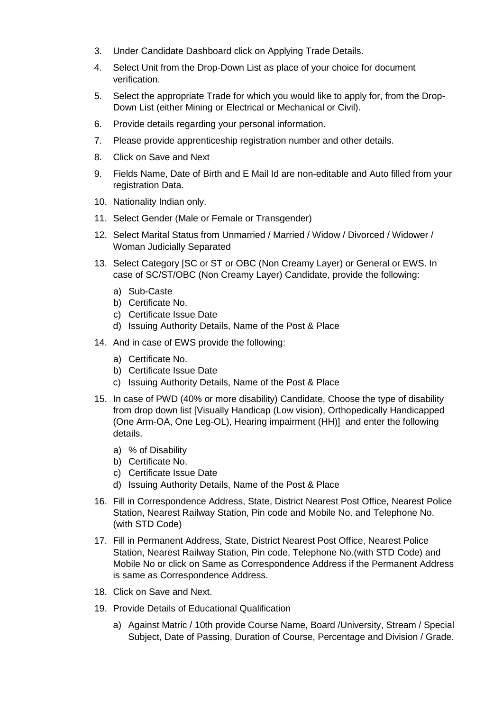- 3. Under Candidate Dashboard click on Applying Trade Details.
- 4. Select Unit from the Drop-Down List as place of your choice for document verification.
- 5. Select the appropriate Trade for which you would like to apply for, from the Drop-Down List (either Mining or Electrical or Mechanical or Civil).
- 6. Provide details regarding your personal information.
- 7. Please provide apprenticeship registration number and other details.
- 8. Click on Save and Next
- 9. Fields Name, Date of Birth and E Mail Id are non-editable and Auto filled from your registration Data.
- 10. Nationality Indian only.
- 11. Select Gender (Male or Female or Transgender)
- 12. Select Marital Status from Unmarried / Married / Widow / Divorced / Widower / Woman Judicially Separated
- 13. Select Category [SC or ST or OBC (Non Creamy Layer) or General or EWS. In case of SC/ST/OBC (Non Creamy Layer) Candidate, provide the following:
	- a) Sub-Caste
	- b) Certificate No.
	- c) Certificate Issue Date
	- d) Issuing Authority Details, Name of the Post & Place
- 14. And in case of EWS provide the following:
	- a) Certificate No.
	- b) Certificate Issue Date
	- c) Issuing Authority Details, Name of the Post & Place
- 15. In case of PWD (40% or more disability) Candidate, Choose the type of disability from drop down list [Visually Handicap (Low vision), Orthopedically Handicapped (One Arm-OA, One Leg-OL), Hearing impairment (HH)] and enter the following details.
	- a) % of Disability
	- b) Certificate No.
	- c) Certificate Issue Date
	- d) Issuing Authority Details, Name of the Post & Place
- 16. Fill in Correspondence Address, State, District Nearest Post Office, Nearest Police Station, Nearest Railway Station, Pin code and Mobile No. and Telephone No. (with STD Code)
- 17. Fill in Permanent Address, State, District Nearest Post Office, Nearest Police Station, Nearest Railway Station, Pin code, Telephone No.(with STD Code) and Mobile No or click on Same as Correspondence Address if the Permanent Address is same as Correspondence Address.
- 18. Click on Save and Next.
- 19. Provide Details of Educational Qualification
	- a) Against Matric / 10th provide Course Name, Board /University, Stream / Special Subject, Date of Passing, Duration of Course, Percentage and Division / Grade.